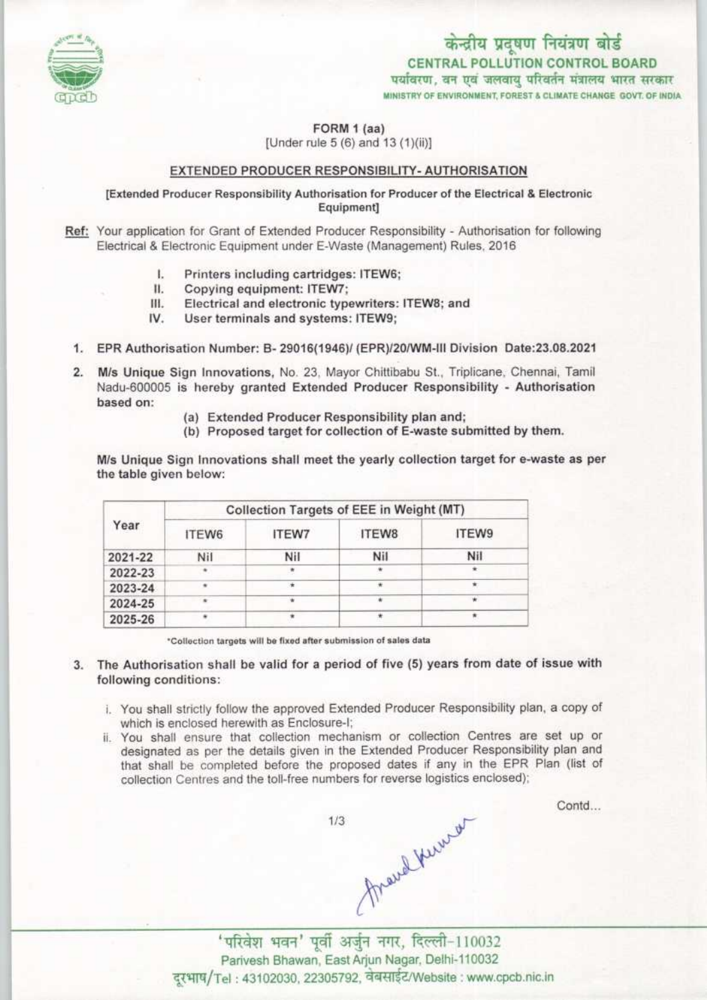

FORM 1 (aa)

[Under rule 5 (6) and 13 (1)(ii)]

## EXTENDED PRODUCER RESPONSIBILITY- AUTHORISATI

[Extended Producer Responsibility Authorisation for Producer of the Electrical & Electronic<br>Equipment]

Ref: Your application for Grant of Extended Producer Responsibility - Authorisation for following Electrical & Electronic Equipment under E-Waste (Management) Rules, 2016<br>
I. Printers including cartridges: ITEW6;<br>
II. Copying equipment: ITEW7;

- 
- II. Copying equipment: ITEW7;<br>III. Electrical and electronic type
- III. Electrical and electronic typewriters: ITEW8; and IV. User terminals and systems: ITEW9:
- User terminals and systems: ITEW9;
- 1. EPR Authorisation Number: B- 29016(1946)/ (EPR)/20/WM-III Division Date:23.08.2021
- M/s Unique Sign Innovations, No. 23, Mayor Chittibabu St., Triplicane, Chennai, Tamil  $2.$ Nadu-600005 is hereby granted Extended Producer Responsibility - Authorisation based on:
	- (a) Extended Producer Responsibility plan and;
	- (b) Proposed target for collection of E-waste submitted by them.

M/s Unique Sign Innovations shall meet the yearly collection target for e-waste as per the table given below:

| Year    | Collection Targets of EEE in Weight (MT) |              |       |       |
|---------|------------------------------------------|--------------|-------|-------|
|         | ITEW6                                    | <b>ITEW7</b> | ITEW8 | ITEW9 |
| 2021-22 | Nil                                      | Nil          | Nil   | Nil   |
| 2022-23 | ٠                                        |              |       |       |
| 2023-24 | ٠                                        |              |       |       |
| 2024-25 |                                          |              |       |       |
| 2025-26 |                                          |              |       |       |

\*Collection targets will be fixed after submission of sales data

- 3. The Authorisation shall be valid for a period of five (5) years from date of issue with following conditions:
	- i. You shall strictly follow the approved Extended Producer Responsibility plan, a copy of which is enclosed herewith as Enclosure-1;
	- ii. You shall ensure that collection mechanism or collection Centres are set up or designated as per the details given in the Extended Producer Responsibility plan and that shall be completed before the proposed dates if any in the EPR Plan (list of collection Centres and the toll-free numbers for reverse logistics enclosed);

^ , www. www. www. www. alkuw.<br>
and Yuww. 110032<br>
'परिवेश भवन' पूर्वी अर्जुन नगर, दिल्ली-110032  $1/3$ 

Contd...

Parivesh Bhawan, East Arjun Nagar, Delhi-110032 दरभाष/Tel: 43102030, 22305792, वेबसाईट/Website: www.cpcb.nic.in

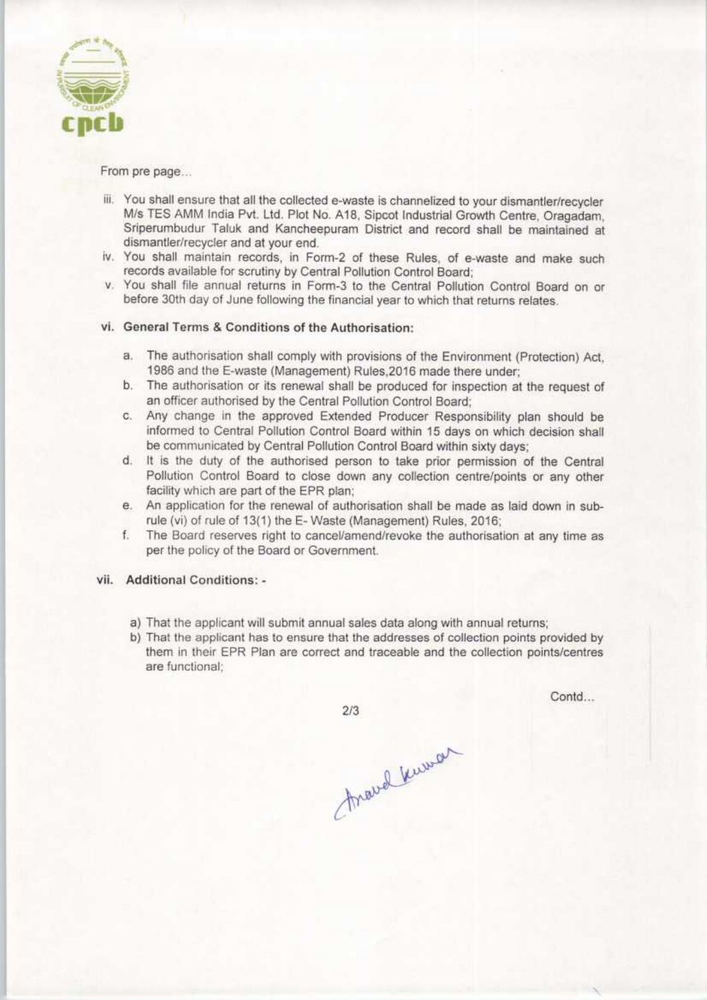

## From pre page...

- iii. You shall ensure that all the collected e-waste is channelized to your dismantler/recycler M/s TES AMM India Pvt. Ltd. Plot No. A18, Sipcot Industrial Growth Centre, Oragadam, Sriperumbudur Taluk and Kancheepuram District and record shall be maintained at dismantler/recycler and at your end.
- iv. You shall maintain records, in Form-2 of these Rules, of e-waste and make such records available for scrutiny by Central Pollution Control Board;
- v. You shall file annual returns in Form-3 to the Central Pollution Control Board on or before 30th day of June following the financial year to which that returns relates.

## vi. General Terms & Conditions of the Authorisation:

- a.The authorisation shall comply with provisions of the Environment (Protection) Act, 1986 and the E-waste (Management) Rules,2016 made there under;
- b. The authorisation or its renewal shall be produced for inspection at the request of an officer authorised by the Central Pollution Control Board;
- c. Any change in the approved Extended Producer Responsibility plan should be informed to Central Pollution Control Board within 15 days on which decision shall be communicated by Central Pollution Control Board within sixty days;
- d. It is the duty of the authorised person to take prior permission of the Central Pollution Control Board to close down any collection centre/points or any other facility which are part of the EPR plan;
- e.An application for the renewal of authorisation shall be made aslaid down in subrule (vi) of rule of 13(1) the E-Waste (Management) Rules, 2016;
- f.The Board reserves right to cancel/amend/revoke the authorisation at any time as per the policy of the Board or Government.

## vii. Additional Conditions: -

- a) That the applicant will submit annual sales data along with annual returns;
- b) That the applicant has to ensure that the addresses of collection points provided by them in their EPR Plan are correct and traceable and the collection points/centres are functional:

 $2/3$ 

Contd...

Around Kuman